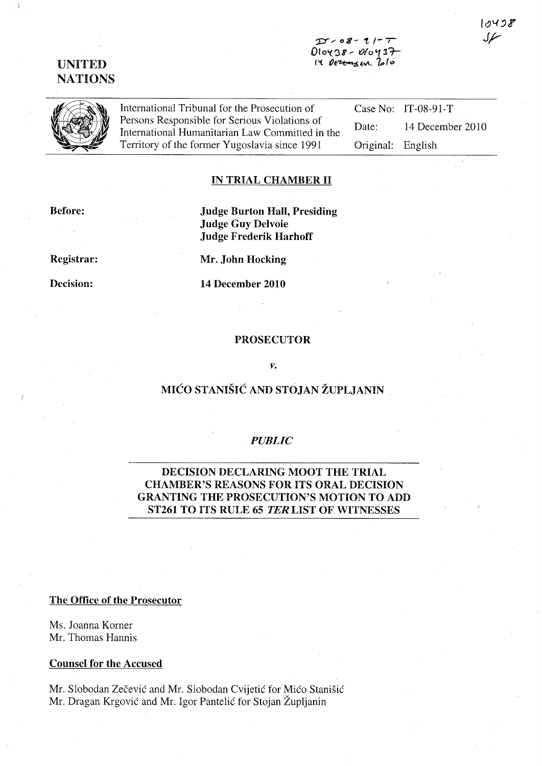#### $D - 08 - 11 - 7$  $0$ loy  $38 - 0$ loy  $37$ .  $14$  DEZEMBEN  $200$

# UNITED NATIONS



International Tribunal for the Prosecution of Persons Responsible for Serious Violations of International Humanitarian Law Committed in the Territory of the fonner Yugoslavia since 1991

Case No: IT-08-91-T Date: 14 December 2010 Original: English

## IN TRIAL CHAMBER II

Before:

Judge Burton Hall, Presiding Judge Guy Delvoie Judge Frederik Harhoff

Registrar:

Decision:

Mr. John Hocking

**14** December 2010

#### PROSECUTOR

#### *v.*

# MICO STANISIC AND STOJAN ZUPLJANIN

#### . *PUBLIC*

# DECISION DECLARING MOOT THE TRIAL CHAMBER'S REASONS FOR ITS ORAL DECISION GRANTING THE PROSECUTION'S MOTION TO ADD ST261 TO ITS RULE 65 TER LIST OF WITNESSES

#### The Office of the Prosecutor

Ms. Joanna Korner Mr. Thomas Hannis

## Counsel for the Accused

Mr. Slobodan Zečević and Mr. Slobodan Cvijetić for Mićo Stanišić Mr. Dragan Krgovic and Mr. Igor Pantelic for Stojan Zupljanin

10498 سمرك